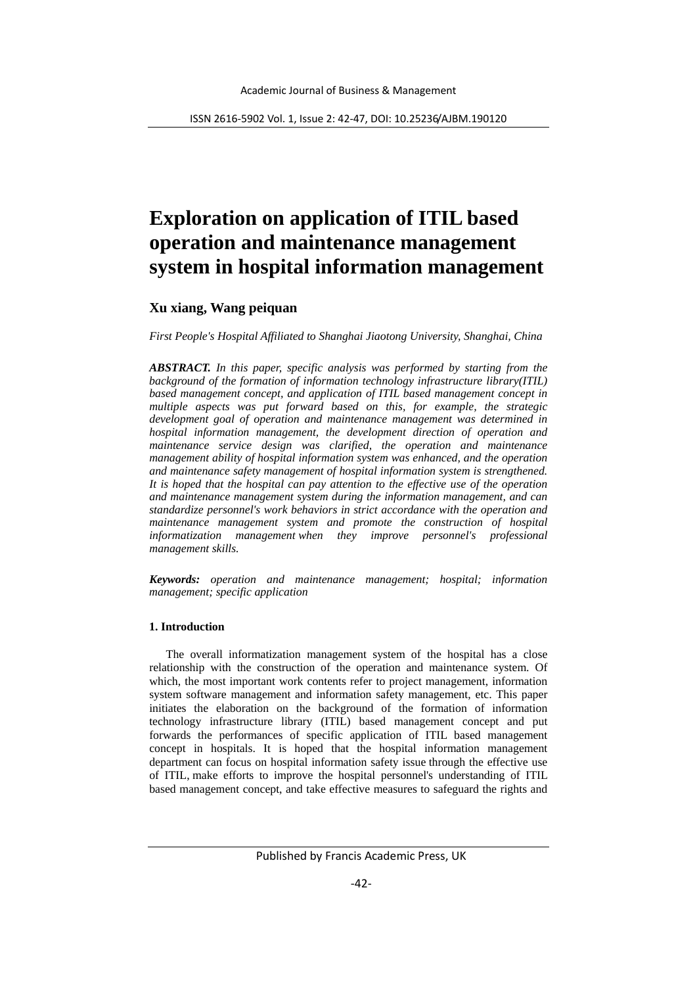# **Exploration on application of ITIL based operation and maintenance management system in hospital information management**

# **Xu xiang, Wang peiquan**

*First People's Hospital Affiliated to Shanghai Jiaotong University, Shanghai, China* 

*ABSTRACT. In this paper, specific analysis was performed by starting from the background of the formation of information technology infrastructure library(ITIL) based management concept, and application of ITIL based management concept in multiple aspects was put forward based on this, for example, the strategic development goal of operation and maintenance management was determined in hospital information management, the development direction of operation and maintenance service design was clarified, the operation and maintenance management ability of hospital information system was enhanced, and the operation and maintenance safety management of hospital information system is strengthened. It is hoped that the hospital can pay attention to the effective use of the operation and maintenance management system during the information management, and can standardize personnel's work behaviors in strict accordance with the operation and maintenance management system and promote the construction of hospital informatization management when they improve personnel's professional management skills.*

*Keywords: operation and maintenance management; hospital; information management; specific application*

## **1. Introduction**

The overall informatization management system of the hospital has a close relationship with the construction of the operation and maintenance system. Of which, the most important work contents refer to project management, information system software management and information safety management, etc. This paper initiates the elaboration on the background of the formation of information technology infrastructure library (ITIL) based management concept and put forwards the performances of specific application of ITIL based management concept in hospitals. It is hoped that the hospital information management department can focus on hospital information safety issue through the effective use of ITIL, make efforts to improve the hospital personnel's understanding of ITIL based management concept, and take effective measures to safeguard the rights and

Published by Francis Academic Press, UK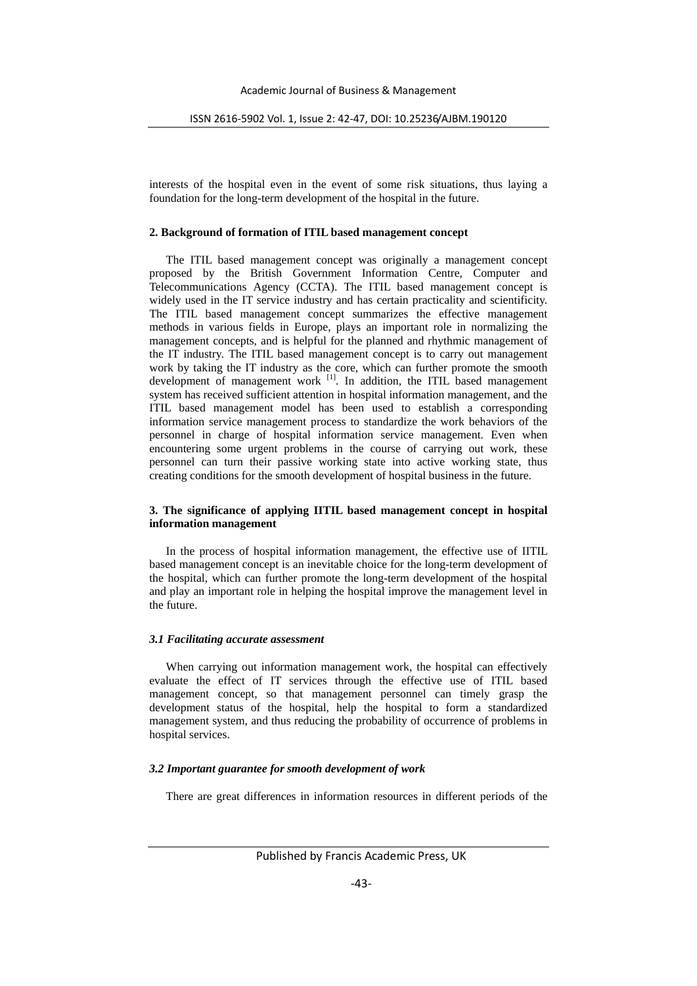interests of the hospital even in the event of some risk situations, thus laying a foundation for the long-term development of the hospital in the future.

#### **2. Background of formation of ITIL based management concept**

The ITIL based management concept was originally a management concept proposed by the British Government Information Centre, Computer and Telecommunications Agency (CCTA). The ITIL based management concept is widely used in the IT service industry and has certain practicality and scientificity. The ITIL based management concept summarizes the effective management methods in various fields in Europe, plays an important role in normalizing the management concepts, and is helpful for the planned and rhythmic management of the IT industry. The ITIL based management concept is to carry out management work by taking the IT industry as the core, which can further promote the smooth development of management work  $\begin{bmatrix} 1 \end{bmatrix}$ . In addition, the ITIL based management system has received sufficient attention in hospital information management, and the ITIL based management model has been used to establish a corresponding information service management process to standardize the work behaviors of the personnel in charge of hospital information service management. Even when encountering some urgent problems in the course of carrying out work, these personnel can turn their passive working state into active working state, thus creating conditions for the smooth development of hospital business in the future.

#### **3. The significance of applying IITIL based management concept in hospital information management**

In the process of hospital information management, the effective use of IITIL based management concept is an inevitable choice for the long-term development of the hospital, which can further promote the long-term development of the hospital and play an important role in helping the hospital improve the management level in the future.

#### *3.1 Facilitating accurate assessment*

When carrying out information management work, the hospital can effectively evaluate the effect of IT services through the effective use of ITIL based management concept, so that management personnel can timely grasp the development status of the hospital, help the hospital to form a standardized management system, and thus reducing the probability of occurrence of problems in hospital services.

#### *3.2 Important guarantee for smooth development of work*

There are great differences in information resources in different periods of the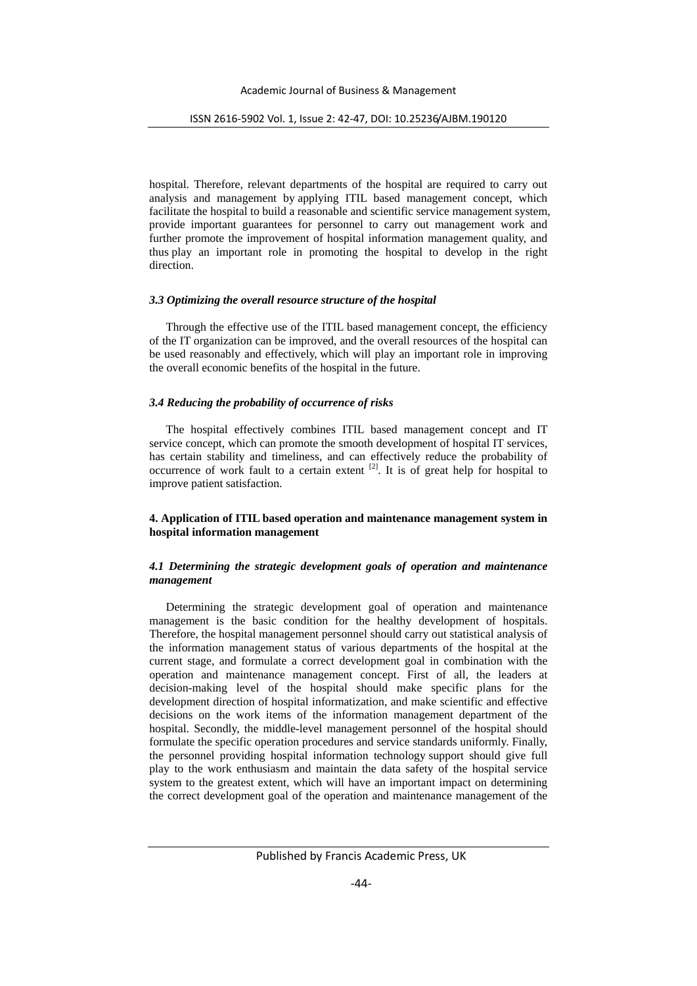hospital. Therefore, relevant departments of the hospital are required to carry out analysis and management by applying ITIL based management concept, which facilitate the hospital to build a reasonable and scientific service management system, provide important guarantees for personnel to carry out management work and further promote the improvement of hospital information management quality, and thus play an important role in promoting the hospital to develop in the right direction.

### *3.3 Optimizing the overall resource structure of the hospital*

Through the effective use of the ITIL based management concept, the efficiency of the IT organization can be improved, and the overall resources of the hospital can be used reasonably and effectively, which will play an important role in improving the overall economic benefits of the hospital in the future.

## *3.4 Reducing the probability of occurrence of risks*

The hospital effectively combines ITIL based management concept and IT service concept, which can promote the smooth development of hospital IT services, has certain stability and timeliness, and can effectively reduce the probability of occurrence of work fault to a certain extent  $[2]$ . It is of great help for hospital to improve patient satisfaction.

### **4. Application of ITIL based operation and maintenance management system in hospital information management**

### *4.1 Determining the strategic development goals of operation and maintenance management*

Determining the strategic development goal of operation and maintenance management is the basic condition for the healthy development of hospitals. Therefore, the hospital management personnel should carry out statistical analysis of the information management status of various departments of the hospital at the current stage, and formulate a correct development goal in combination with the operation and maintenance management concept. First of all, the leaders at decision-making level of the hospital should make specific plans for the development direction of hospital informatization, and make scientific and effective decisions on the work items of the information management department of the hospital. Secondly, the middle-level management personnel of the hospital should formulate the specific operation procedures and service standards uniformly. Finally, the personnel providing hospital information technology support should give full play to the work enthusiasm and maintain the data safety of the hospital service system to the greatest extent, which will have an important impact on determining the correct development goal of the operation and maintenance management of the

Published by Francis Academic Press, UK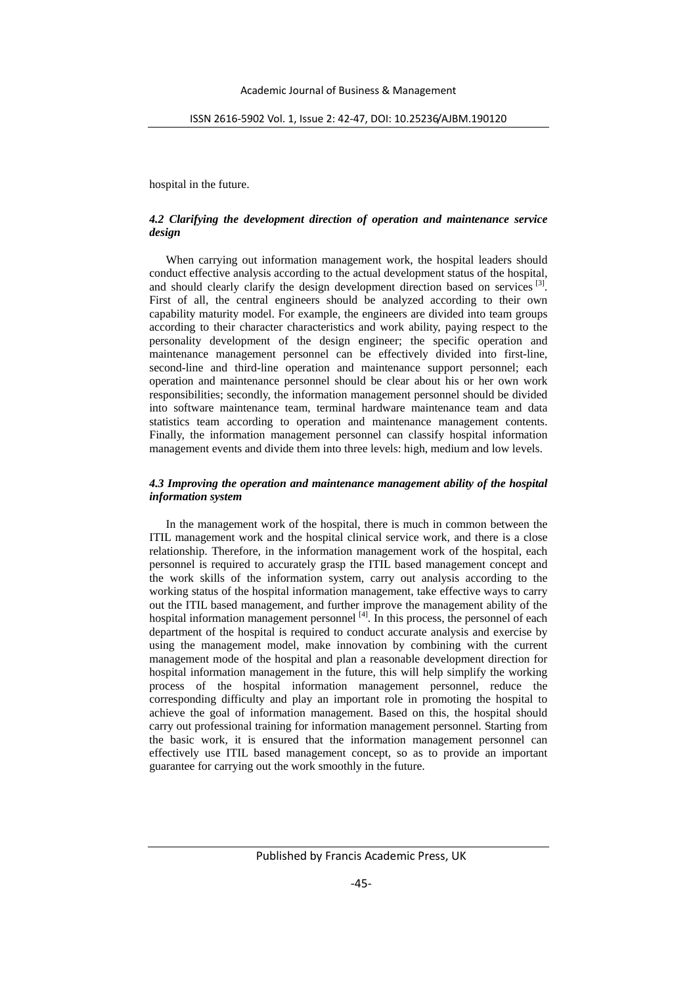hospital in the future.

### *4.2 Clarifying the development direction of operation and maintenance service design*

When carrying out information management work, the hospital leaders should conduct effective analysis according to the actual development status of the hospital, and should clearly clarify the design development direction based on services [3]. First of all, the central engineers should be analyzed according to their own capability maturity model. For example, the engineers are divided into team groups according to their character characteristics and work ability, paying respect to the personality development of the design engineer; the specific operation and maintenance management personnel can be effectively divided into first-line, second-line and third-line operation and maintenance support personnel; each operation and maintenance personnel should be clear about his or her own work responsibilities; secondly, the information management personnel should be divided into software maintenance team, terminal hardware maintenance team and data statistics team according to operation and maintenance management contents. Finally, the information management personnel can classify hospital information management events and divide them into three levels: high, medium and low levels.

#### *4.3 Improving the operation and maintenance management ability of the hospital information system*

In the management work of the hospital, there is much in common between the ITIL management work and the hospital clinical service work, and there is a close relationship. Therefore, in the information management work of the hospital, each personnel is required to accurately grasp the ITIL based management concept and the work skills of the information system, carry out analysis according to the working status of the hospital information management, take effective ways to carry out the ITIL based management, and further improve the management ability of the hospital information management personnel <sup>[4]</sup>. In this process, the personnel of each department of the hospital is required to conduct accurate analysis and exercise by using the management model, make innovation by combining with the current management mode of the hospital and plan a reasonable development direction for hospital information management in the future, this will help simplify the working process of the hospital information management personnel, reduce the corresponding difficulty and play an important role in promoting the hospital to achieve the goal of information management. Based on this, the hospital should carry out professional training for information management personnel. Starting from the basic work, it is ensured that the information management personnel can effectively use ITIL based management concept, so as to provide an important guarantee for carrying out the work smoothly in the future.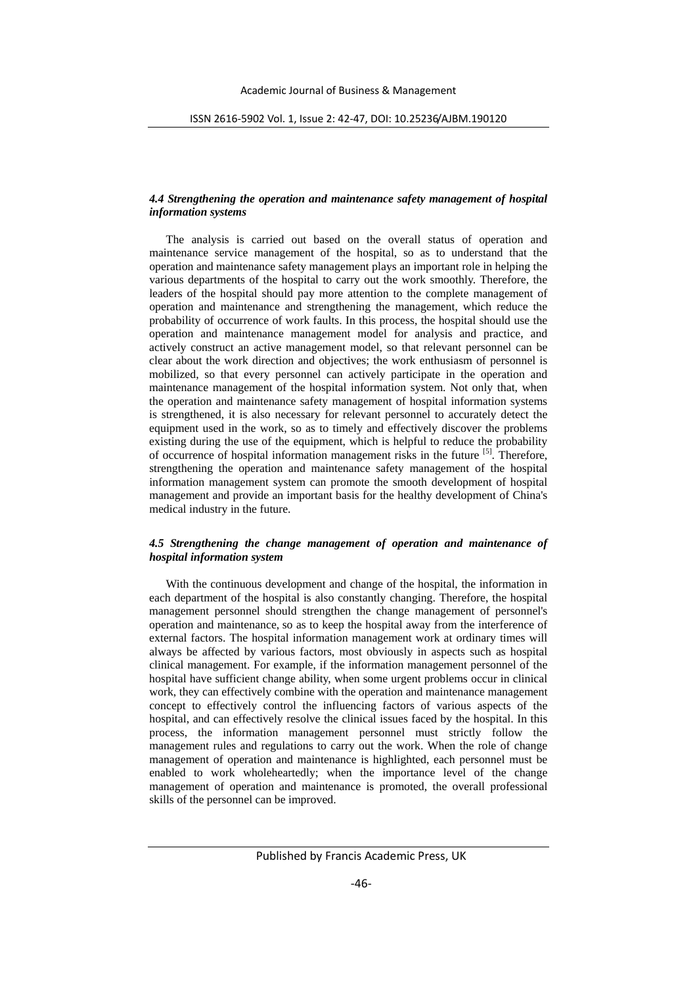## *4.4 Strengthening the operation and maintenance safety management of hospital information systems*

The analysis is carried out based on the overall status of operation and maintenance service management of the hospital, so as to understand that the operation and maintenance safety management plays an important role in helping the various departments of the hospital to carry out the work smoothly. Therefore, the leaders of the hospital should pay more attention to the complete management of operation and maintenance and strengthening the management, which reduce the probability of occurrence of work faults. In this process, the hospital should use the operation and maintenance management model for analysis and practice, and actively construct an active management model, so that relevant personnel can be clear about the work direction and objectives; the work enthusiasm of personnel is mobilized, so that every personnel can actively participate in the operation and maintenance management of the hospital information system. Not only that, when the operation and maintenance safety management of hospital information systems is strengthened, it is also necessary for relevant personnel to accurately detect the equipment used in the work, so as to timely and effectively discover the problems existing during the use of the equipment, which is helpful to reduce the probability of occurrence of hospital information management risks in the future [5]. Therefore, strengthening the operation and maintenance safety management of the hospital information management system can promote the smooth development of hospital management and provide an important basis for the healthy development of China's medical industry in the future.

# *4.5 Strengthening the change management of operation and maintenance of hospital information system*

With the continuous development and change of the hospital, the information in each department of the hospital is also constantly changing. Therefore, the hospital management personnel should strengthen the change management of personnel's operation and maintenance, so as to keep the hospital away from the interference of external factors. The hospital information management work at ordinary times will always be affected by various factors, most obviously in aspects such as hospital clinical management. For example, if the information management personnel of the hospital have sufficient change ability, when some urgent problems occur in clinical work, they can effectively combine with the operation and maintenance management concept to effectively control the influencing factors of various aspects of the hospital, and can effectively resolve the clinical issues faced by the hospital. In this process, the information management personnel must strictly follow the management rules and regulations to carry out the work. When the role of change management of operation and maintenance is highlighted, each personnel must be enabled to work wholeheartedly; when the importance level of the change management of operation and maintenance is promoted, the overall professional skills of the personnel can be improved.